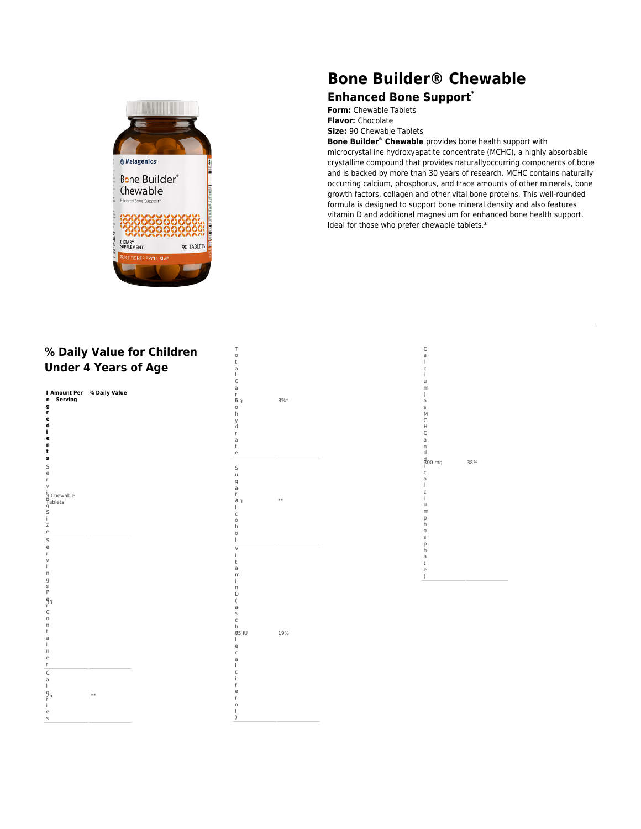

## **Bone Builder® Chewable**

## **Enhanced Bone Support\***

**Form:** Chewable Tablets **Flavor:** Chocolate **Size:** 90 Chewable Tablets

**Bone Builder® Chewable** provides bone health support with

microcrystalline hydroxyapatite concentrate (MCHC), a highly absorbable crystalline compound that provides naturallyoccurring components of bone and is backed by more than 30 years of research. MCHC contains naturally occurring calcium, phosphorus, and trace amounts of other minerals, bone growth factors, collagen and other vital bone proteins. This well-rounded formula is designed to support bone mineral density and also features vitamin D and additional magnesium for enhanced bone health support. Ideal for those who prefer chewable tablets.\*

## **% Daily Value for Children Under 4 Years of Age**



T o t